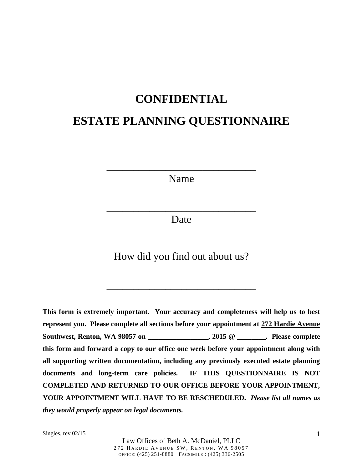## **CONFIDENTIAL**

# **ESTATE PLANNING QUESTIONNAIRE**

Name

\_\_\_\_\_\_\_\_\_\_\_\_\_\_\_\_\_\_\_\_\_\_\_\_\_\_\_\_

Date

\_\_\_\_\_\_\_\_\_\_\_\_\_\_\_\_\_\_\_\_\_\_\_\_\_\_\_\_

How did you find out about us?

\_\_\_\_\_\_\_\_\_\_\_\_\_\_\_\_\_\_\_\_\_\_\_\_\_\_\_\_

**This form is extremely important. Your accuracy and completeness will help us to best represent you. Please complete all sections before your appointment at 272 Hardie Avenue**  Southwest, Renton, WA 98057 on  $\hspace{1.6cm}$ , 2015 @  $\hspace{1.6cm}$  . Please complete **this form and forward a copy to our office one week before your appointment along with all supporting written documentation, including any previously executed estate planning documents and long-term care policies. IF THIS QUESTIONNAIRE IS NOT COMPLETED AND RETURNED TO OUR OFFICE BEFORE YOUR APPOINTMENT, YOUR APPOINTMENT WILL HAVE TO BE RESCHEDULED.** *Please list all names as they would properly appear on legal documents.*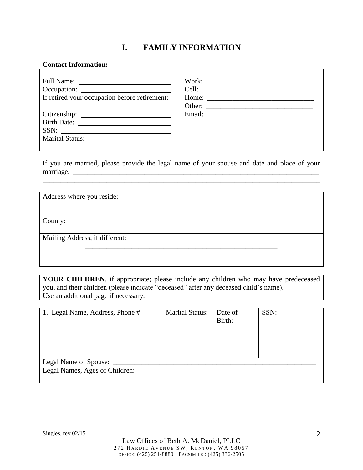### **I. FAMILY INFORMATION**

#### **Contact Information:**

| If retired your occupation before retirement: |  |
|-----------------------------------------------|--|
| Birth Date:<br>SSN:<br>Marital Status:        |  |

If you are married, please provide the legal name of your spouse and date and place of your marriage. \_\_\_\_\_\_\_\_\_\_\_\_\_\_\_\_\_\_\_\_\_\_\_\_\_\_\_\_\_\_\_\_\_\_\_\_\_\_\_\_\_\_\_\_\_\_\_\_\_\_\_\_\_\_\_\_\_\_\_\_\_\_\_\_\_\_\_\_\_

\_\_\_\_\_\_\_\_\_\_\_\_\_\_\_\_\_\_\_\_\_\_\_\_\_\_\_\_\_\_\_\_\_\_\_\_\_\_\_\_\_\_\_\_\_\_\_\_\_\_\_\_\_\_\_\_\_\_\_\_\_\_\_\_\_\_\_\_\_\_\_\_\_\_\_\_\_\_

| Address where you reside: |                                |  |
|---------------------------|--------------------------------|--|
|                           |                                |  |
| County:                   |                                |  |
|                           | Mailing Address, if different: |  |
|                           |                                |  |
|                           |                                |  |

**YOUR CHILDREN**, if appropriate; please include any children who may have predeceased you, and their children (please indicate "deceased" after any deceased child's name). Use an additional page if necessary.

| 1. Legal Name, Address, Phone #: | <b>Marital Status:</b> | Date of<br>Birth: | SSN: |
|----------------------------------|------------------------|-------------------|------|
|                                  |                        |                   |      |
|                                  |                        |                   |      |
| Legal Name of Spouse:            |                        |                   |      |
| Legal Names, Ages of Children:   |                        |                   |      |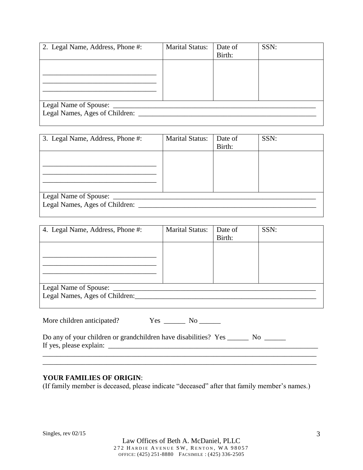| 2. Legal Name, Address, Phone #: | <b>Marital Status:</b> | Date of<br>Birth: | SSN: |
|----------------------------------|------------------------|-------------------|------|
|                                  |                        |                   |      |
|                                  |                        |                   |      |
|                                  |                        |                   |      |
| Legal Name of Spouse: ______     |                        |                   |      |
| Legal Names, Ages of Children:   |                        |                   |      |

| 3. Legal Name, Address, Phone #:     | <b>Marital Status:</b> | Date of<br>Birth: | SSN: |
|--------------------------------------|------------------------|-------------------|------|
|                                      |                        |                   |      |
|                                      |                        |                   |      |
|                                      |                        |                   |      |
| Legal Name of Spouse: _              |                        |                   |      |
| Legal Names, Ages of Children: _____ |                        |                   |      |
|                                      |                        |                   |      |

| 4. Legal Name, Address, Phone #: | <b>Marital Status:</b> | Date of | SSN: |
|----------------------------------|------------------------|---------|------|
|                                  |                        | Birth:  |      |
|                                  |                        |         |      |
|                                  |                        |         |      |
|                                  |                        |         |      |
|                                  |                        |         |      |
|                                  |                        |         |      |
| Legal Name of Spouse: _____      |                        |         |      |
| Legal Names, Ages of Children:   |                        |         |      |
|                                  |                        |         |      |

| More children anticipated?<br>Yes | Nο |
|-----------------------------------|----|
|-----------------------------------|----|

Do any of your children or grandchildren have disabilities? Yes \_\_\_\_\_\_\_ No \_\_\_\_\_\_ If yes, please explain:  $\Box$ 

#### **YOUR FAMILIES OF ORIGIN**:

(If family member is deceased, please indicate "deceased" after that family member's names.)

\_\_\_\_\_\_\_\_\_\_\_\_\_\_\_\_\_\_\_\_\_\_\_\_\_\_\_\_\_\_\_\_\_\_\_\_\_\_\_\_\_\_\_\_\_\_\_\_\_\_\_\_\_\_\_\_\_\_\_\_\_\_\_\_\_\_\_\_\_\_\_\_\_\_\_\_\_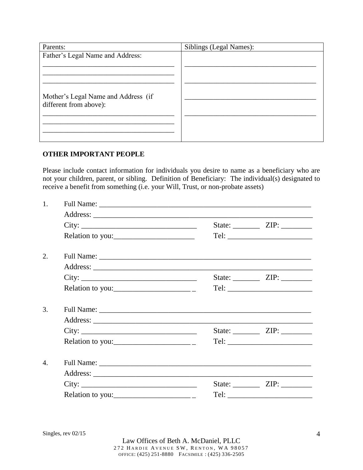| Parents:                                                      | Siblings (Legal Names): |
|---------------------------------------------------------------|-------------------------|
| Father's Legal Name and Address:                              |                         |
| Mother's Legal Name and Address (if<br>different from above): |                         |
|                                                               |                         |

#### **OTHER IMPORTANT PEOPLE**

Please include contact information for individuals you desire to name as a beneficiary who are not your children, parent, or sibling. Definition of Beneficiary: The individual(s) designated to receive a benefit from something (i.e. your Will, Trust, or non-probate assets)

| 1. |                                                                                                                                                                                                                                                                                                                                                                                                                     |  |                               |  |
|----|---------------------------------------------------------------------------------------------------------------------------------------------------------------------------------------------------------------------------------------------------------------------------------------------------------------------------------------------------------------------------------------------------------------------|--|-------------------------------|--|
|    |                                                                                                                                                                                                                                                                                                                                                                                                                     |  |                               |  |
|    | City:                                                                                                                                                                                                                                                                                                                                                                                                               |  | State: $\angle$ ZIP: $\angle$ |  |
|    | Relation to you:                                                                                                                                                                                                                                                                                                                                                                                                    |  |                               |  |
| 2. |                                                                                                                                                                                                                                                                                                                                                                                                                     |  |                               |  |
|    |                                                                                                                                                                                                                                                                                                                                                                                                                     |  |                               |  |
|    | City:                                                                                                                                                                                                                                                                                                                                                                                                               |  |                               |  |
|    |                                                                                                                                                                                                                                                                                                                                                                                                                     |  |                               |  |
| 3. |                                                                                                                                                                                                                                                                                                                                                                                                                     |  |                               |  |
|    |                                                                                                                                                                                                                                                                                                                                                                                                                     |  |                               |  |
|    | City:                                                                                                                                                                                                                                                                                                                                                                                                               |  | State: $\angle$ ZIP: $\angle$ |  |
|    |                                                                                                                                                                                                                                                                                                                                                                                                                     |  |                               |  |
| 4. |                                                                                                                                                                                                                                                                                                                                                                                                                     |  |                               |  |
|    |                                                                                                                                                                                                                                                                                                                                                                                                                     |  |                               |  |
|    | City:                                                                                                                                                                                                                                                                                                                                                                                                               |  |                               |  |
|    | Relation to you: $\frac{1}{\sqrt{1-\frac{1}{\sqrt{1-\frac{1}{\sqrt{1-\frac{1}{\sqrt{1-\frac{1}{\sqrt{1-\frac{1}{\sqrt{1-\frac{1}{\sqrt{1-\frac{1}{\sqrt{1-\frac{1}{\sqrt{1-\frac{1}{\sqrt{1-\frac{1}{\sqrt{1-\frac{1}{\sqrt{1-\frac{1}{\sqrt{1-\frac{1}{\sqrt{1-\frac{1}{\sqrt{1-\frac{1}{\sqrt{1-\frac{1}{\sqrt{1-\frac{1}{\sqrt{1-\frac{1}{\sqrt{1-\frac{1}{\sqrt{1-\frac{1}{\sqrt{1-\frac{1}{\sqrt{1-\frac{1}{\$ |  |                               |  |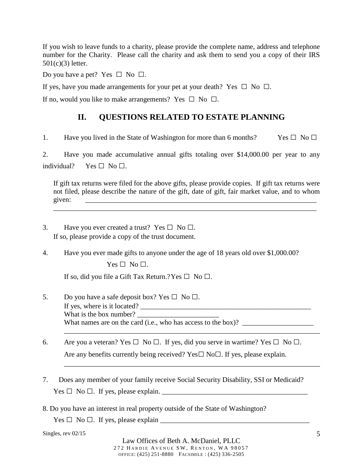If you wish to leave funds to a charity, please provide the complete name, address and telephone number for the Charity. Please call the charity and ask them to send you a copy of their IRS 501(c)(3) letter.

Do you have a pet? Yes  $\Box$  No  $\Box$ .

If yes, have you made arrangements for your pet at your death? Yes  $\Box$  No  $\Box$ .

If no, would you like to make arrangements? Yes  $\Box$  No  $\Box$ .

### **II. QUESTIONS RELATED TO ESTATE PLANNING**

1. Have you lived in the State of Washington for more than 6 months? Yes  $\square$  No  $\square$ 

2. Have you made accumulative annual gifts totaling over \$14,000.00 per year to any individual? Yes  $\Box$  No  $\Box$ .

If gift tax returns were filed for the above gifts, please provide copies. If gift tax returns were not filed, please describe the nature of the gift, date of gift, fair market value, and to whom given: \_\_\_\_\_\_\_\_\_\_\_\_\_\_\_\_\_\_\_\_\_\_\_\_\_\_\_\_\_\_\_\_\_\_\_\_\_\_\_\_\_\_\_\_\_\_\_\_\_\_\_\_\_\_\_\_\_\_\_\_\_\_\_\_\_

\_\_\_\_\_\_\_\_\_\_\_\_\_\_\_\_\_\_\_\_\_\_\_\_\_\_\_\_\_\_\_\_\_\_\_\_\_\_\_\_\_\_\_\_\_\_\_\_\_\_\_\_\_\_\_\_\_\_\_\_\_\_\_\_\_\_\_\_\_\_\_\_\_\_

- 3. Have you ever created a trust? Yes  $\square$  No  $\square$ . If so, please provide a copy of the trust document.
- 4. Have you ever made gifts to anyone under the age of 18 years old over \$1,000.00?  $Yes \Box No \Box.$

If so, did you file a Gift Tax Return.? Yes  $\square$  No  $\square$ .

5. Do you have a safe deposit box? Yes  $\square$  No  $\square$ . If yes, where is it located? What is the box number? What names are on the card (i.e., who has access to the box)?  $\frac{1}{\sqrt{1-\frac{1}{\sqrt{1-\frac{1}{\sqrt{1-\frac{1}{\sqrt{1-\frac{1}{\sqrt{1-\frac{1}{\sqrt{1-\frac{1}{\sqrt{1-\frac{1}{\sqrt{1-\frac{1}{\sqrt{1-\frac{1}{\sqrt{1-\frac{1}{\sqrt{1-\frac{1}{\sqrt{1-\frac{1}{\sqrt{1-\frac{1}{\sqrt{1-\frac{1}{\sqrt{1-\frac{1}{\sqrt{1-\frac{1}{\sqrt{1-\frac{1}{$ 

\_\_\_\_\_\_\_\_\_\_\_\_\_\_\_\_\_\_\_\_\_\_\_\_\_\_\_\_\_\_\_\_\_\_\_\_\_\_\_\_\_\_\_\_\_\_\_\_\_\_\_\_\_\_\_\_\_\_\_\_\_\_\_\_\_\_\_\_\_\_\_\_

\_\_\_\_\_\_\_\_\_\_\_\_\_\_\_\_\_\_\_\_\_\_\_\_\_\_\_\_\_\_\_\_\_\_\_\_\_\_\_\_\_\_\_\_\_\_\_\_\_\_\_\_\_\_\_\_\_\_\_\_\_\_\_\_\_\_\_\_\_\_\_\_

- 6. Are you a veteran? Yes  $\Box$  No  $\Box$ . If yes, did you serve in wartime? Yes  $\Box$  No  $\Box$ . Are any benefits currently being received? Yes $\square$  No $\square$ . If yes, please explain.
- 7. Does any member of your family receive Social Security Disability, SSI or Medicaid?  $Yes \Box No \Box.$  If yes, please explain.  $\Box$
- 8. Do you have an interest in real property outside of the State of Washington?

 $Yes \Box No \Box$ . If yes, please explain  $\Box$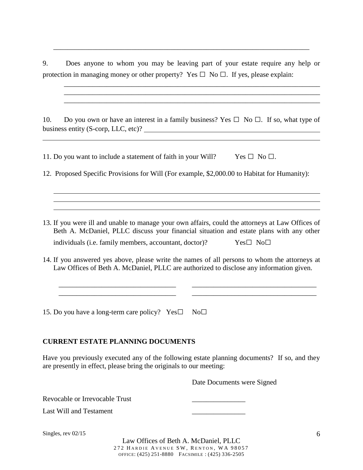9. Does anyone to whom you may be leaving part of your estate require any help or protection in managing money or other property? Yes  $\Box$  No  $\Box$ . If yes, please explain:

\_\_\_\_\_\_\_\_\_\_\_\_\_\_\_\_\_\_\_\_\_\_\_\_\_\_\_\_\_\_\_\_\_\_\_\_\_\_\_\_\_\_\_\_\_\_\_\_\_\_\_\_\_\_\_\_\_\_\_\_\_\_\_\_\_\_\_\_\_\_\_\_ \_\_\_\_\_\_\_\_\_\_\_\_\_\_\_\_\_\_\_\_\_\_\_\_\_\_\_\_\_\_\_\_\_\_\_\_\_\_\_\_\_\_\_\_\_\_\_\_\_\_\_\_\_\_\_\_\_\_\_\_\_\_\_\_\_\_\_\_\_\_\_\_ \_\_\_\_\_\_\_\_\_\_\_\_\_\_\_\_\_\_\_\_\_\_\_\_\_\_\_\_\_\_\_\_\_\_\_\_\_\_\_\_\_\_\_\_\_\_\_\_\_\_\_\_\_\_\_\_\_\_\_\_\_\_\_\_\_\_\_\_\_\_\_\_

\_\_\_\_\_\_\_\_\_\_\_\_\_\_\_\_\_\_\_\_\_\_\_\_\_\_\_\_\_\_\_\_\_\_\_\_\_\_\_\_\_\_\_\_\_\_\_\_\_\_\_\_\_\_\_\_\_\_\_\_\_\_\_\_\_\_\_\_\_\_\_\_

10. Do you own or have an interest in a family business? Yes  $\Box$  No  $\Box$ . If so, what type of business entity (S-corp, LLC, etc)?

11. Do you want to include a statement of faith in your Will? Yes  $\Box$  No  $\Box$ .

12. Proposed Specific Provisions for Will (For example, \$2,000.00 to Habitat for Humanity):

13. If you were ill and unable to manage your own affairs, could the attorneys at Law Offices of Beth A. McDaniel, PLLC discuss your financial situation and estate plans with any other individuals (i.e. family members, accountant, doctor)?  $Yes \Box \ No \Box$ 

14. If you answered yes above, please write the names of all persons to whom the attorneys at Law Offices of Beth A. McDaniel, PLLC are authorized to disclose any information given.

\_\_\_\_\_\_\_\_\_\_\_\_\_\_\_\_\_\_\_\_\_\_\_\_\_\_\_\_\_\_\_\_\_ \_\_\_\_\_\_\_\_\_\_\_\_\_\_\_\_\_\_\_\_\_\_\_\_\_\_\_\_\_\_\_\_\_\_\_ \_\_\_\_\_\_\_\_\_\_\_\_\_\_\_\_\_\_\_\_\_\_\_\_\_\_\_\_\_\_\_\_\_ \_\_\_\_\_\_\_\_\_\_\_\_\_\_\_\_\_\_\_\_\_\_\_\_\_\_\_\_\_\_\_\_\_\_\_

15. Do you have a long-term care policy?Yes□ No□

#### **CURRENT ESTATE PLANNING DOCUMENTS**

Have you previously executed any of the following estate planning documents? If so, and they are presently in effect, please bring the originals to our meeting:

Date Documents were Signed

Revocable or Irrevocable Trust

Last Will and Testament

Singles, rev 02/15

Law Offices of Beth A. McDaniel, PLLC 272 HARDIE AVENUE SW, RENTON, WA 98057 OFFICE: (425) 251-8880 FACSIMILE : (425) 336-2505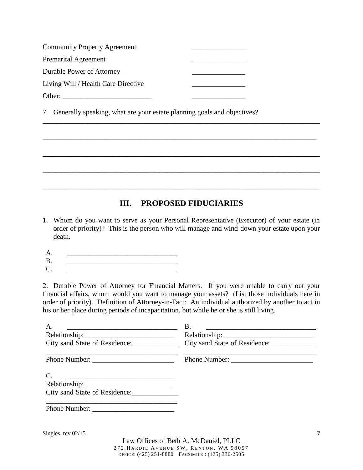| <b>Community Property Agreement</b> |  |
|-------------------------------------|--|
| <b>Premarital Agreement</b>         |  |
| Durable Power of Attorney           |  |
| Living Will / Health Care Directive |  |
| Other:                              |  |

7. Generally speaking, what are your estate planning goals and objectives?

### **III. PROPOSED FIDUCIARIES**

**\_\_\_\_\_\_\_\_\_\_\_\_\_\_\_\_\_\_\_\_\_\_\_\_\_\_\_\_\_\_\_\_\_\_\_\_\_\_\_\_\_\_\_\_\_\_\_\_\_\_\_\_\_\_\_\_\_\_\_\_\_\_\_\_\_\_\_\_\_\_\_\_\_\_\_\_\_\_**

**\_\_\_\_\_\_\_\_\_\_\_\_\_\_\_\_\_\_\_\_\_\_\_\_\_\_\_\_\_\_\_\_\_\_\_\_\_\_\_\_\_\_\_\_\_\_\_\_\_\_\_\_\_\_\_\_\_\_\_\_\_\_\_\_\_\_\_\_\_\_\_\_\_\_\_\_\_** 

**\_\_\_\_\_\_\_\_\_\_\_\_\_\_\_\_\_\_\_\_\_\_\_\_\_\_\_\_\_\_\_\_\_\_\_\_\_\_\_\_\_\_\_\_\_\_\_\_\_\_\_\_\_\_\_\_\_\_\_\_\_\_\_\_\_\_\_\_\_\_\_\_\_\_\_\_\_\_**

**\_\_\_\_\_\_\_\_\_\_\_\_\_\_\_\_\_\_\_\_\_\_\_\_\_\_\_\_\_\_\_\_\_\_\_\_\_\_\_\_\_\_\_\_\_\_\_\_\_\_\_\_\_\_\_\_\_\_\_\_\_\_\_\_\_\_\_\_\_\_\_\_\_\_\_\_\_\_**

**\_\_\_\_\_\_\_\_\_\_\_\_\_\_\_\_\_\_\_\_\_\_\_\_\_\_\_\_\_\_\_\_\_\_\_\_\_\_\_\_\_\_\_\_\_\_\_\_\_\_\_\_\_\_\_\_\_\_\_\_\_\_\_\_\_\_\_\_\_\_\_\_\_\_\_\_\_\_**

- 1. Whom do you want to serve as your Personal Representative (Executor) of your estate (in order of priority)? This is the person who will manage and wind-down your estate upon your death.
- A. \_\_\_\_\_\_\_\_\_\_\_\_\_\_\_\_\_\_\_\_\_\_\_\_\_\_\_\_\_\_\_
- $B.$ C. \_\_\_\_\_\_\_\_\_\_\_\_\_\_\_\_\_\_\_\_\_\_\_\_\_\_\_\_\_\_\_

2. Durable Power of Attorney for Financial Matters. If you were unable to carry out your financial affairs, whom would you want to manage your assets? (List those individuals here in order of priority). Definition of Attorney-in-Fact: An individual authorized by another to act in his or her place during periods of incapacitation, but while he or she is still living.

| А.<br><u> 2000 - Jan James James James James James James James James James James James James James James James James J</u> | Β.<br><u> 1989 - Johann John Stone, markin film yn y brenin y brenin y brenin y brenin y brenin y brenin y brenin y br</u> |
|----------------------------------------------------------------------------------------------------------------------------|----------------------------------------------------------------------------------------------------------------------------|
|                                                                                                                            |                                                                                                                            |
| City sand State of Residence:                                                                                              | City sand State of Residence:                                                                                              |
|                                                                                                                            |                                                                                                                            |
| C.                                                                                                                         |                                                                                                                            |
|                                                                                                                            |                                                                                                                            |
| City sand State of Residence:                                                                                              |                                                                                                                            |
| Phone Number:                                                                                                              |                                                                                                                            |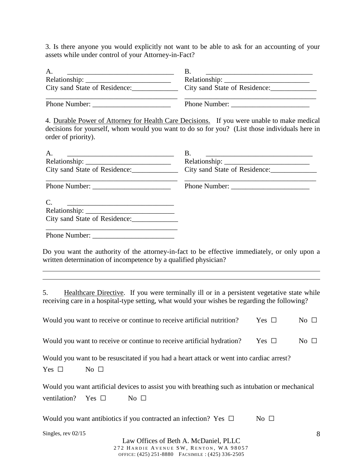3. Is there anyone you would explicitly not want to be able to ask for an accounting of your assets while under control of your Attorney-in-Fact?

| Α.<br><u> 1989 - Johann Barn, mars eta bat eta bat erroman erroman erroman erroman erroman erroman erroman erroman err</u>                                                                                         | B.<br><u> 1989 - Johann John Stone, mars et al. (1989)</u> |            |           |  |  |
|--------------------------------------------------------------------------------------------------------------------------------------------------------------------------------------------------------------------|------------------------------------------------------------|------------|-----------|--|--|
|                                                                                                                                                                                                                    |                                                            |            |           |  |  |
| City sand State of Residence:                                                                                                                                                                                      |                                                            |            |           |  |  |
|                                                                                                                                                                                                                    |                                                            |            |           |  |  |
| 4. Durable Power of Attorney for Health Care Decisions. If you were unable to make medical<br>decisions for yourself, whom would you want to do so for you? (List those individuals here in<br>order of priority). |                                                            |            |           |  |  |
| A.                                                                                                                                                                                                                 | <b>B.</b>                                                  |            |           |  |  |
|                                                                                                                                                                                                                    |                                                            |            |           |  |  |
| City sand State of Residence:                                                                                                                                                                                      | City sand State of Residence:                              |            |           |  |  |
|                                                                                                                                                                                                                    |                                                            |            |           |  |  |
| $\mathcal{C}$ .                                                                                                                                                                                                    |                                                            |            |           |  |  |
|                                                                                                                                                                                                                    |                                                            |            |           |  |  |
|                                                                                                                                                                                                                    |                                                            |            |           |  |  |
|                                                                                                                                                                                                                    |                                                            |            |           |  |  |
| Do you want the authority of the attorney-in-fact to be effective immediately, or only upon a<br>written determination of incompetence by a qualified physician?                                                   |                                                            |            |           |  |  |
| Healthcare Directive. If you were terminally ill or in a persistent vegetative state while<br>5.<br>receiving care in a hospital-type setting, what would your wishes be regarding the following?                  |                                                            |            |           |  |  |
| Would you want to receive or continue to receive artificial nutrition?                                                                                                                                             |                                                            | Yes $\Box$ | No $\Box$ |  |  |
| Would you want to receive or continue to receive artificial hydration?                                                                                                                                             |                                                            | Yes $\Box$ | No $\Box$ |  |  |
| Would you want to be resuscitated if you had a heart attack or went into cardiac arrest?<br>Yes $\square$<br>No $\Box$                                                                                             |                                                            |            |           |  |  |
| Would you want artificial devices to assist you with breathing such as intubation or mechanical                                                                                                                    |                                                            |            |           |  |  |
| ventilation?<br>Yes $\Box$<br>No $\Box$                                                                                                                                                                            |                                                            |            |           |  |  |
| Would you want antibiotics if you contracted an infection? Yes $\Box$                                                                                                                                              |                                                            | No $\Box$  |           |  |  |
| Singles, rev 02/15                                                                                                                                                                                                 |                                                            |            | 8         |  |  |

Law Offices of Beth A. McDaniel, PLLC 272 HARDIE AVENUE SW, RENTON, WA 98057 OFFICE: (425) 251-8880 FACSIMILE : (425) 336-2505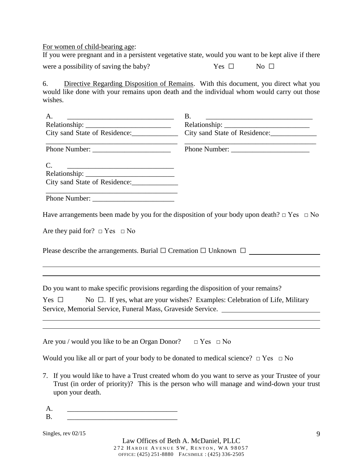For women of child-bearing age:

If you were pregnant and in a persistent vegetative state, would you want to be kept alive if there were a possibility of saving the baby? Yes  $\Box$  No  $\Box$ 

6. Directive Regarding Disposition of Remains. With this document, you direct what you would like done with your remains upon death and the individual whom would carry out those wishes.

| A.                                                                                 | <b>B.</b>                                                                                            |  |
|------------------------------------------------------------------------------------|------------------------------------------------------------------------------------------------------|--|
|                                                                                    |                                                                                                      |  |
| City sand State of Residence:                                                      | City sand State of Residence:                                                                        |  |
|                                                                                    |                                                                                                      |  |
| $\mathcal{C}$ .                                                                    |                                                                                                      |  |
|                                                                                    |                                                                                                      |  |
| City sand State of Residence:                                                      |                                                                                                      |  |
|                                                                                    |                                                                                                      |  |
|                                                                                    | Have arrangements been made by you for the disposition of your body upon death? $\Box$ Yes $\Box$ No |  |
| Are they paid for? $\Box$ Yes $\Box$ No                                            |                                                                                                      |  |
| Please describe the arrangements. Burial $\Box$ Cremation $\Box$ Unknown $\Box$    |                                                                                                      |  |
|                                                                                    |                                                                                                      |  |
| Do you want to make specific provisions regarding the disposition of your remains? |                                                                                                      |  |
| Yes $\Box$                                                                         | No $\Box$ . If yes, what are your wishes? Examples: Celebration of Life, Military                    |  |
|                                                                                    | Service, Memorial Service, Funeral Mass, Graveside Service. ____________________                     |  |
|                                                                                    |                                                                                                      |  |
|                                                                                    |                                                                                                      |  |
| Are you / would you like to be an Organ Donor? $\Box$ Yes $\Box$ No                |                                                                                                      |  |

Would you like all or part of your body to be donated to medical science? □ Yes □ No

7. If you would like to have a Trust created whom do you want to serve as your Trustee of your Trust (in order of priority)? This is the person who will manage and wind-down your trust upon your death.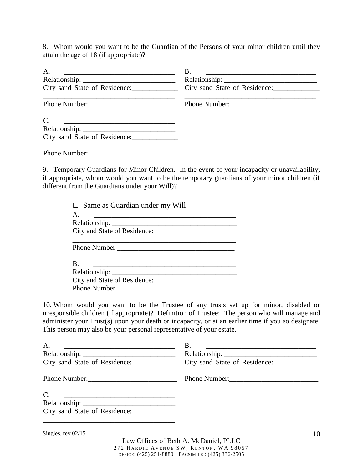8. Whom would you want to be the Guardian of the Persons of your minor children until they attain the age of 18 (if appropriate)?

| A.<br><u> 1989 - Johann Barbara, markazi bashkar mashrida ma'lumot oli</u> | Β.<br><u> 1989 - Johann Barbara, marka a shekara tsa 1989 - An tsa 1989 - An tsa 1989 - An tsa 1989 - An tsa 1989 - An</u> |
|----------------------------------------------------------------------------|----------------------------------------------------------------------------------------------------------------------------|
|                                                                            |                                                                                                                            |
| City sand State of Residence:                                              | City sand State of Residence:                                                                                              |
| Phone Number:                                                              | Phone Number:                                                                                                              |
| $\mathcal{C}$ .                                                            |                                                                                                                            |
|                                                                            |                                                                                                                            |
| City sand State of Residence:                                              |                                                                                                                            |
| Phone Number: New York 1988                                                |                                                                                                                            |

9. Temporary Guardians for Minor Children. In the event of your incapacity or unavailability, if appropriate, whom would you want to be the temporary guardians of your minor children (if different from the Guardians under your Will)?

| $\Box$ Same as Guardian under my Will                                                                                                                                                                                          |
|--------------------------------------------------------------------------------------------------------------------------------------------------------------------------------------------------------------------------------|
| $\mathsf{A}$ .                                                                                                                                                                                                                 |
|                                                                                                                                                                                                                                |
| City and State of Residence:                                                                                                                                                                                                   |
| <b>Phone Number</b>                                                                                                                                                                                                            |
| <b>B.</b>                                                                                                                                                                                                                      |
| Relationship: Network of the state of the state of the state of the state of the state of the state of the state of the state of the state of the state of the state of the state of the state of the state of the state of th |
|                                                                                                                                                                                                                                |
| <b>Phone Number</b>                                                                                                                                                                                                            |

10. Whom would you want to be the Trustee of any trusts set up for minor, disabled or irresponsible children (if appropriate)? Definition of Trustee: The person who will manage and administer your Trust(s) upon your death or incapacity, or at an earlier time if you so designate. This person may also be your personal representative of your estate.

| A.<br><u> 1989 - Johann Stein, marwolaethau a bhann an t-Amhainn an t-Amhainn an t-Amhainn an t-Amhainn an t-Amhainn a</u> | B.<br><u> 1989 - Jan Barnett, fransk politiker (d. 1989)</u><br>City sand State of Residence: City sand State of Residence: |
|----------------------------------------------------------------------------------------------------------------------------|-----------------------------------------------------------------------------------------------------------------------------|
| Phone Number:                                                                                                              | Phone Number:                                                                                                               |
| $\mathcal{C}$ .<br>City sand State of Residence: ______________                                                            |                                                                                                                             |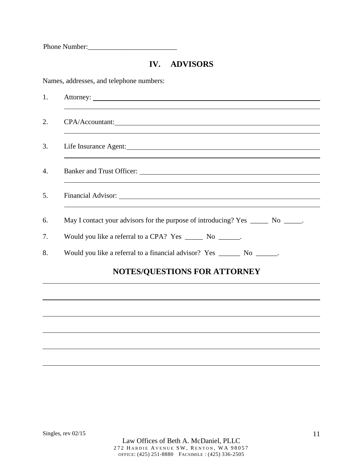Phone Number:

### **IV. ADVISORS**

Names, addresses, and telephone numbers:

| CPA/Accountant:                                                                  |
|----------------------------------------------------------------------------------|
|                                                                                  |
|                                                                                  |
|                                                                                  |
| May I contact your advisors for the purpose of introducing? Yes ______ No _____. |
| Would you like a referral to a CPA? Yes _______ No _______.                      |
| Would you like a referral to a financial advisor? Yes ________ No _______.       |
| <b>NOTES/QUESTIONS FOR ATTORNEY</b>                                              |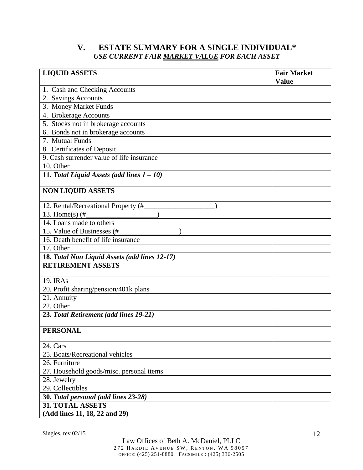#### **V. ESTATE SUMMARY FOR A SINGLE INDIVIDUAL\***  *USE CURRENT FAIR MARKET VALUE FOR EACH ASSET*

| <b>LIQUID ASSETS</b>                          | <b>Fair Market</b><br><b>Value</b> |
|-----------------------------------------------|------------------------------------|
| 1. Cash and Checking Accounts                 |                                    |
| 2. Savings Accounts                           |                                    |
| 3. Money Market Funds                         |                                    |
| 4. Brokerage Accounts                         |                                    |
| 5. Stocks not in brokerage accounts           |                                    |
| 6. Bonds not in brokerage accounts            |                                    |
| 7. Mutual Funds                               |                                    |
| 8. Certificates of Deposit                    |                                    |
| 9. Cash surrender value of life insurance     |                                    |
| 10. Other                                     |                                    |
| 11. Total Liquid Assets (add lines $1 - 10$ ) |                                    |
| <b>NON LIQUID ASSETS</b>                      |                                    |
| 12. Rental/Recreational Property (#           |                                    |
| 13. Home(s) $(\#$                             |                                    |
| 14. Loans made to others                      |                                    |
| 15. Value of Businesses (#                    |                                    |
| 16. Death benefit of life insurance           |                                    |
| 17. Other                                     |                                    |
| 18. Total Non Liquid Assets (add lines 12-17) |                                    |
| <b>RETIREMENT ASSETS</b>                      |                                    |
| 19. IRAs                                      |                                    |
| 20. Profit sharing/pension/401k plans         |                                    |
| 21. Annuity                                   |                                    |
| 22. Other                                     |                                    |
| 23. Total Retirement (add lines 19-21)        |                                    |
| <b>PERSONAL</b>                               |                                    |
| 24. Cars                                      |                                    |
| 25. Boats/Recreational vehicles               |                                    |
| 26. Furniture                                 |                                    |
| 27. Household goods/misc. personal items      |                                    |
| 28. Jewelry                                   |                                    |
| 29. Collectibles                              |                                    |
| 30. Total personal (add lines 23-28)          |                                    |
| <b>31. TOTAL ASSETS</b>                       |                                    |
| (Add lines 11, 18, 22 and 29)                 |                                    |